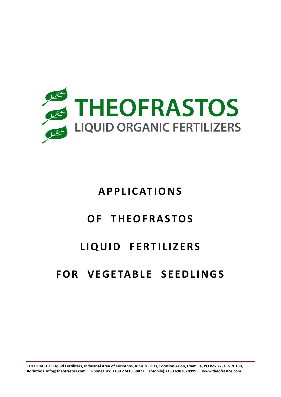

# **APPLICATIONS**

## **OF THEOFRASTOS**

## **LIQUID FERTILIZERS**

# **FOR VEGETABLE SEEDLINGS**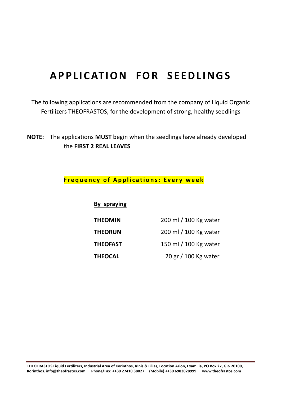# **APPLICATION FOR SEEDLINGS**

The following applications are recommended from the company of Liquid Organic Fertilizers THEOFRASTOS, for the development of strong, healthy seedlings

**NOTE:** The applications **MUST** begin when the seedlings have already developed the **FIRST 2 REAL LEAVES** 

#### **Frequency of Applications: Every week**

**By spraying**

| <b>THEOMIN</b>  | 200 ml / 100 Kg water |
|-----------------|-----------------------|
| <b>THEORUN</b>  | 200 ml / 100 Kg water |
| <b>THEOFAST</b> | 150 ml / 100 Kg water |
| <b>THEOCAL</b>  | 20 gr / 100 Kg water  |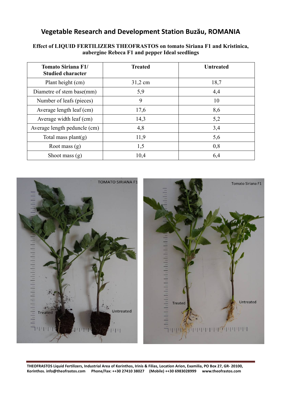| <b>Tomato Siriana F1/</b><br><b>Studied character</b> | <b>Treated</b> | <b>Untreated</b> |
|-------------------------------------------------------|----------------|------------------|
| Plant height (cm)                                     | 31,2 cm        | 18,7             |
| Diametre of stem base(mm)                             | 5,9            | 4,4              |
| Number of leafs (pieces)                              | 9              | 10               |
| Average length leaf (cm)                              | 17,6           | 8,6              |
| Average width leaf (cm)                               | 14,3           | 5,2              |
| Average length peduncle (cm)                          | 4,8            | 3,4              |
| Total mass plant(g)                                   | 11,9           | 5,6              |
| Root mass $(g)$                                       | 1,5            | 0,8              |
| Shoot mass $(g)$                                      | 10,4           | 6,4              |

#### **Effect of LIQUID FERTILIZERS THEOFRASTOS on tomato Siriana F1 and Kristinica, aubergine Rebeca F1 and pepper Ideal seedlings**

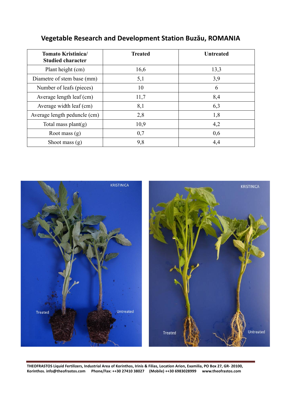| <b>Tomato Kristinica/</b><br><b>Studied character</b> | <b>Treated</b> | <b>Untreated</b> |
|-------------------------------------------------------|----------------|------------------|
| Plant height (cm)                                     | 16,6           | 13,3             |
| Diametre of stem base (mm)                            | 5,1            | 3,9              |
| Number of leafs (pieces)                              | 10             | 6                |
| Average length leaf (cm)                              | 11,7           | 8,4              |
| Average width leaf (cm)                               | 8,1            | 6,3              |
| Average length peduncle (cm)                          | 2,8            | 1,8              |
| Total mass plant $(g)$                                | 10,9           | 4,2              |
| Root mass $(g)$                                       | 0,7            | 0,6              |
| Shoot mass $(g)$                                      | 9,8            | 4,4              |

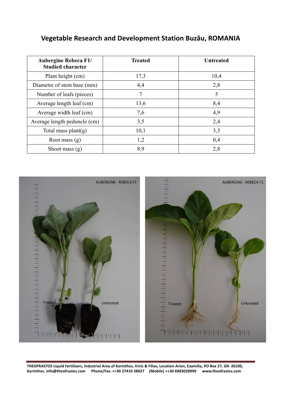| <b>Aubergine Rebeca F1/</b><br><b>Studied character</b> | <b>Treated</b> | <b>Untreated</b> |
|---------------------------------------------------------|----------------|------------------|
| Plant height (cm)                                       | 17,3           | 10,4             |
| Diametre of stem base (mm)                              | 4,4            | 2,8              |
| Number of leafs (pieces)                                | 7              | 5                |
| Average length leaf (cm)                                | 13,6           | 8,4              |
| Average width leaf (cm)                                 | 7,6            | 4,9              |
| Average length peduncle (cm)                            | 3,5            | 2,4              |
| Total mass plant $(g)$                                  | 10,1           | 3,3              |
| Root mass $(g)$                                         | 1,2            | 0,4              |
| Shoot mass $(g)$                                        | 8,9            | 2,8              |